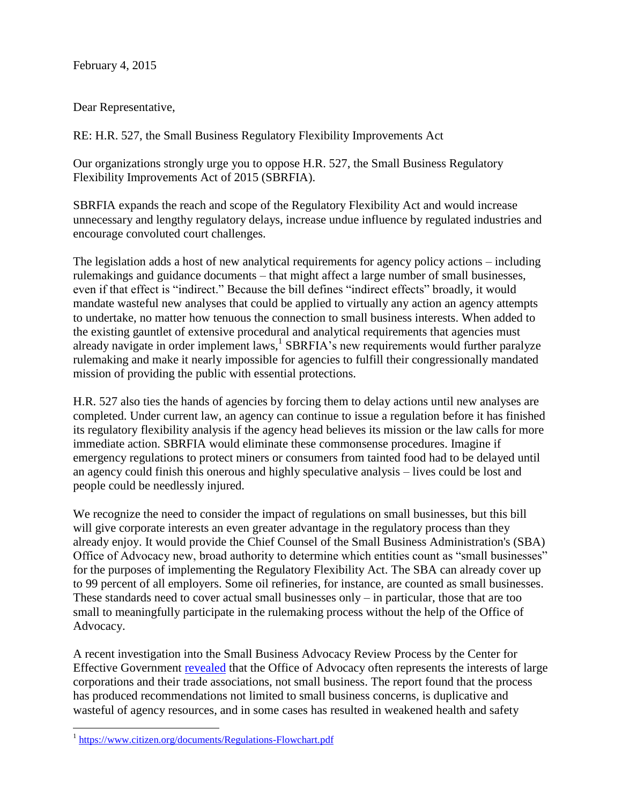February 4, 2015

Dear Representative,

RE: H.R. 527, the Small Business Regulatory Flexibility Improvements Act

Our organizations strongly urge you to oppose H.R. 527, the Small Business Regulatory Flexibility Improvements Act of 2015 (SBRFIA).

SBRFIA expands the reach and scope of the Regulatory Flexibility Act and would increase unnecessary and lengthy regulatory delays, increase undue influence by regulated industries and encourage convoluted court challenges.

The legislation adds a host of new analytical requirements for agency policy actions – including rulemakings and guidance documents – that might affect a large number of small businesses, even if that effect is "indirect." Because the bill defines "indirect effects" broadly, it would mandate wasteful new analyses that could be applied to virtually any action an agency attempts to undertake, no matter how tenuous the connection to small business interests. When added to the existing gauntlet of extensive procedural and analytical requirements that agencies must already navigate in order implement laws,<sup>1</sup> SBRFIA's new requirements would further paralyze rulemaking and make it nearly impossible for agencies to fulfill their congressionally mandated mission of providing the public with essential protections.

H.R. 527 also ties the hands of agencies by forcing them to delay actions until new analyses are completed. Under current law, an agency can continue to issue a regulation before it has finished its regulatory flexibility analysis if the agency head believes its mission or the law calls for more immediate action. SBRFIA would eliminate these commonsense procedures. Imagine if emergency regulations to protect miners or consumers from tainted food had to be delayed until an agency could finish this onerous and highly speculative analysis – lives could be lost and people could be needlessly injured.

We recognize the need to consider the impact of regulations on small businesses, but this bill will give corporate interests an even greater advantage in the regulatory process than they already enjoy. It would provide the Chief Counsel of the Small Business Administration's (SBA) Office of Advocacy new, broad authority to determine which entities count as "small businesses" for the purposes of implementing the Regulatory Flexibility Act. The SBA can already cover up to 99 percent of all employers. Some oil refineries, for instance, are counted as small businesses. These standards need to cover actual small businesses only – in particular, those that are too small to meaningfully participate in the rulemaking process without the help of the Office of Advocacy.

A recent investigation into the Small Business Advocacy Review Process by the Center for Effective Government [revealed](http://www.foreffectivegov.org/gaming-the-rules) that the Office of Advocacy often represents the interests of large corporations and their trade associations, not small business. The report found that the process has produced recommendations not limited to small business concerns, is duplicative and wasteful of agency resources, and in some cases has resulted in weakened health and safety

<sup>&</sup>lt;sup>1</sup> <https://www.citizen.org/documents/Regulations-Flowchart.pdf>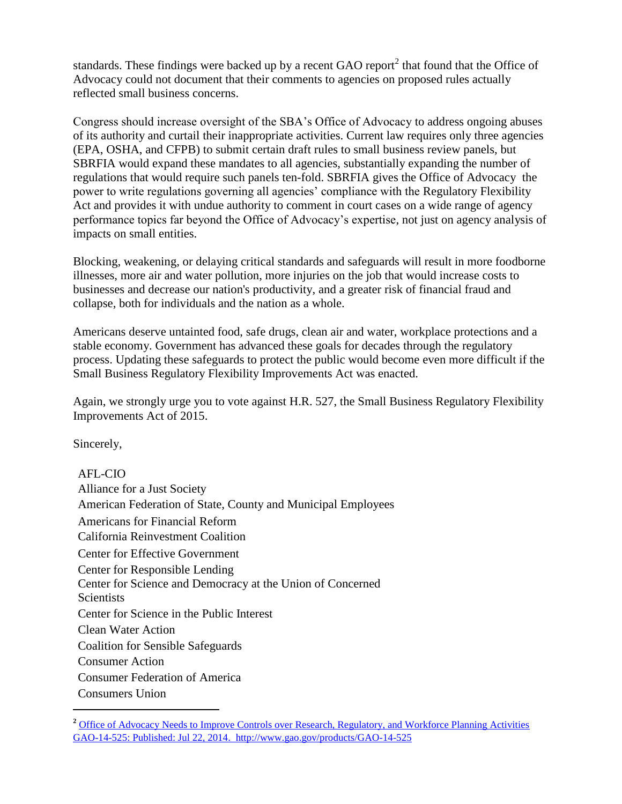standards. These findings were backed up by a recent GAO report<sup>2</sup> that found that the Office of Advocacy could not document that their comments to agencies on proposed rules actually reflected small business concerns.

Congress should increase oversight of the SBA's Office of Advocacy to address ongoing abuses of its authority and curtail their inappropriate activities. Current law requires only three agencies (EPA, OSHA, and CFPB) to submit certain draft rules to small business review panels, but SBRFIA would expand these mandates to all agencies, substantially expanding the number of regulations that would require such panels ten-fold. SBRFIA gives the Office of Advocacy the power to write regulations governing all agencies' compliance with the Regulatory Flexibility Act and provides it with undue authority to comment in court cases on a wide range of agency performance topics far beyond the Office of Advocacy's expertise, not just on agency analysis of impacts on small entities.

Blocking, weakening, or delaying critical standards and safeguards will result in more foodborne illnesses, more air and water pollution, more injuries on the job that would increase costs to businesses and decrease our nation's productivity, and a greater risk of financial fraud and collapse, both for individuals and the nation as a whole.

Americans deserve untainted food, safe drugs, clean air and water, workplace protections and a stable economy. Government has advanced these goals for decades through the regulatory process. Updating these safeguards to protect the public would become even more difficult if the Small Business Regulatory Flexibility Improvements Act was enacted.

Again, we strongly urge you to vote against H.R. 527, the Small Business Regulatory Flexibility Improvements Act of 2015.

Sincerely,

 $\overline{a}$ 

AFL-CIO Alliance for a Just Society American Federation of State, County and Municipal Employees Americans for Financial Reform California Reinvestment Coalition Center for Effective Government Center for Responsible Lending Center for Science and Democracy at the Union of Concerned **Scientists** Center for Science in the Public Interest Clean Water Action Coalition for Sensible Safeguards Consumer Action Consumer Federation of America Consumers Union

<sup>&</sup>lt;sup>2</sup> Office of Advocacy Needs to Improve Controls over Research, Regulatory, and Workforce Planning Activities GAO-14-525: [Published: Jul 22, 2014. http://www.gao.gov/products/GAO-14-525](file:///C:/Users/rweintraub.CFA/AppData/Local/Microsoft/Windows/Temporary%20Internet%20Files/Content.Outlook/H9WGFI50/Office%20of%20Advocacy%20Needs%20to%20Improve%20Controls%20over%20Research,%20Regulatory,%20and%20Workforce%20Planning%20Activities%20GAO-14-525: Published:%20Jul%2022,%202014.%20 http:/www.gao.gov/products/GAO-14-525)